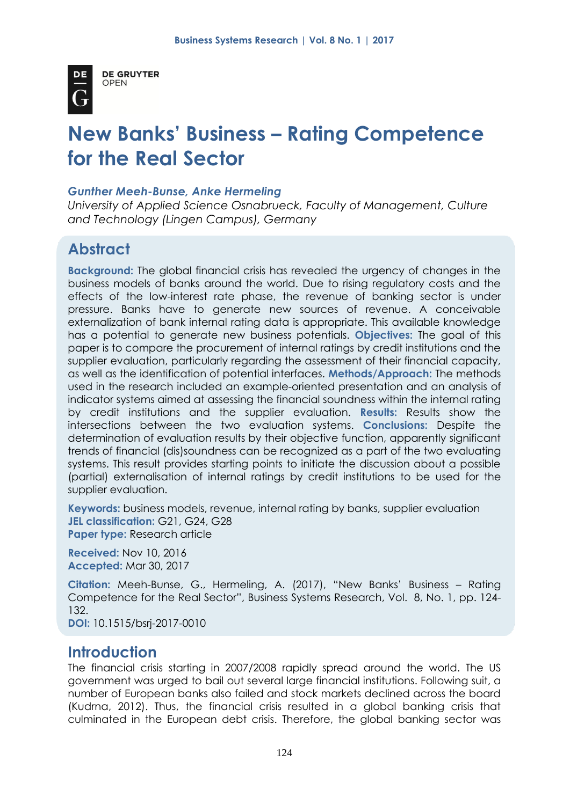

**DE GRUYTER** OPEN

# **New Banks' Business – Rating Competence for the Real Sector**

#### *Gunther Meeh-Bunse, Anke Hermeling*

*University of Applied Science Osnabrueck, Faculty of Management, Culture and Technology (Lingen Campus), Germany*

# **Abstract**

**Background:** The global financial crisis has revealed the urgency of changes in the business models of banks around the world. Due to rising regulatory costs and the effects of the low-interest rate phase, the revenue of banking sector is under pressure. Banks have to generate new sources of revenue. A conceivable externalization of bank internal rating data is appropriate. This available knowledge has a potential to generate new business potentials. **Objectives:** The goal of this paper is to compare the procurement of internal ratings by credit institutions and the supplier evaluation, particularly regarding the assessment of their financial capacity, as well as the identification of potential interfaces. **Methods/Approach:** The methods used in the research included an example-oriented presentation and an analysis of indicator systems aimed at assessing the financial soundness within the internal rating by credit institutions and the supplier evaluation. **Results:** Results show the intersections between the two evaluation systems. **Conclusions:** Despite the determination of evaluation results by their objective function, apparently significant trends of financial (dis)soundness can be recognized as a part of the two evaluating systems. This result provides starting points to initiate the discussion about a possible (partial) externalisation of internal ratings by credit institutions to be used for the supplier evaluation.

**Keywords:** business models, revenue, internal rating by banks, supplier evaluation **JEL classification:** G21, G24, G28 **Paper type:** Research article

**Received:** Nov 10, 2016 **Accepted:** Mar 30, 2017

**Citation:** Meeh-Bunse, G., Hermeling, A. (2017), "New Banks' Business – Rating Competence for the Real Sector", Business Systems Research, Vol. 8, No. 1, pp. 124- 132.

**DOI:** 10.1515/bsrj-2017-0010

## **Introduction**

The financial crisis starting in 2007/2008 rapidly spread around the world. The US government was urged to bail out several large financial institutions. Following suit, a number of European banks also failed and stock markets declined across the board (Kudrna, 2012). Thus, the financial crisis resulted in a global banking crisis that culminated in the European debt crisis. Therefore, the global banking sector was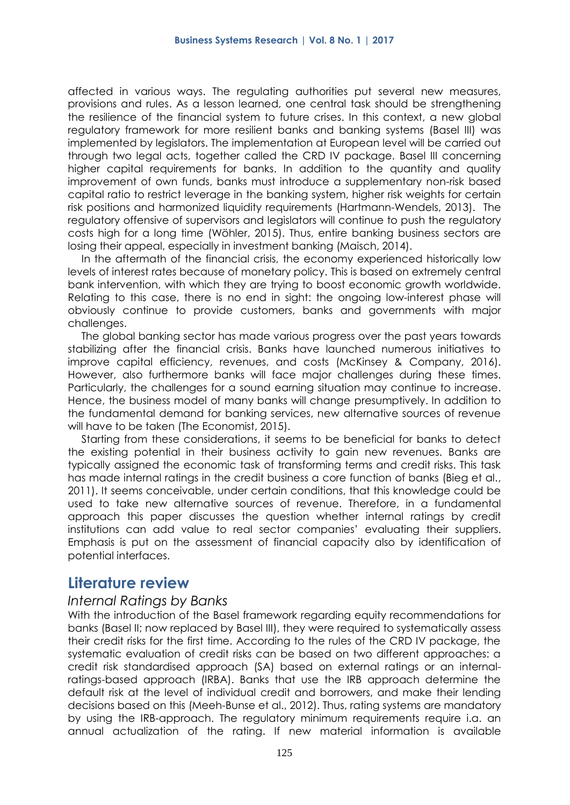affected in various ways. The regulating authorities put several new measures, provisions and rules. As a lesson learned, one central task should be strengthening the resilience of the financial system to future crises. In this context, a new global regulatory framework for more resilient banks and banking systems (Basel III) was implemented by legislators. The implementation at European level will be carried out through two legal acts, together called the CRD IV package. Basel III concerning higher capital requirements for banks. In addition to the quantity and quality improvement of own funds, banks must introduce a supplementary non-risk based capital ratio to restrict leverage in the banking system, higher risk weights for certain risk positions and harmonized liquidity requirements (Hartmann-Wendels, 2013). The regulatory offensive of supervisors and legislators will continue to push the regulatory costs high for a long time (Wöhler, 2015). Thus, entire banking business sectors are losing their appeal, especially in investment banking (Maisch, 2014).

In the aftermath of the financial crisis, the economy experienced historically low levels of interest rates because of monetary policy. This is based on extremely central bank intervention, with which they are trying to boost economic growth worldwide. Relating to this case, there is no end in sight: the ongoing low-interest phase will obviously continue to provide customers, banks and governments with major challenges.

The global banking sector has made various progress over the past years towards stabilizing after the financial crisis. Banks have launched numerous initiatives to improve capital efficiency, revenues, and costs (McKinsey & Company, 2016). However, also furthermore banks will face major challenges during these times. Particularly, the challenges for a sound earning situation may continue to increase. Hence, the business model of many banks will change presumptively. In addition to the fundamental demand for banking services, new alternative sources of revenue will have to be taken (The Economist, 2015).

Starting from these considerations, it seems to be beneficial for banks to detect the existing potential in their business activity to gain new revenues. Banks are typically assigned the economic task of transforming terms and credit risks. This task has made internal ratings in the credit business a core function of banks (Bieg et al., 2011). It seems conceivable, under certain conditions, that this knowledge could be used to take new alternative sources of revenue. Therefore, in a fundamental approach this paper discusses the question whether internal ratings by credit institutions can add value to real sector companies' evaluating their suppliers. Emphasis is put on the assessment of financial capacity also by identification of potential interfaces.

## **Literature review**

#### *Internal Ratings by Banks*

With the introduction of the Basel framework regarding equity recommendations for banks (Basel II; now replaced by Basel III), they were required to systematically assess their credit risks for the first time. According to the rules of the CRD IV package, the systematic evaluation of credit risks can be based on two different approaches: a credit risk standardised approach (SA) based on external ratings or an internalratings-based approach (IRBA). Banks that use the IRB approach determine the default risk at the level of individual credit and borrowers, and make their lending decisions based on this (Meeh-Bunse et al., 2012). Thus, rating systems are mandatory by using the IRB-approach. The regulatory minimum requirements require i.a. an annual actualization of the rating. If new material information is available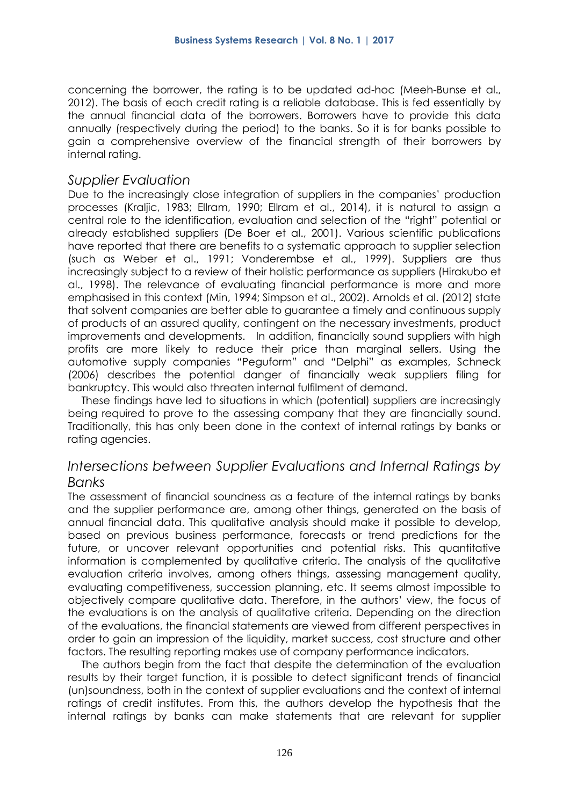concerning the borrower, the rating is to be updated ad-hoc (Meeh-Bunse et al., 2012). The basis of each credit rating is a reliable database. This is fed essentially by the annual financial data of the borrowers. Borrowers have to provide this data annually (respectively during the period) to the banks. So it is for banks possible to gain a comprehensive overview of the financial strength of their borrowers by internal rating.

#### *Supplier Evaluation*

Due to the increasingly close integration of suppliers in the companies' production processes (Kraljic, 1983; Ellram, 1990; Ellram et al., 2014), it is natural to assign a central role to the identification, evaluation and selection of the "right" potential or already established suppliers (De Boer et al., 2001). Various scientific publications have reported that there are benefits to a systematic approach to supplier selection (such as Weber et al., 1991; Vonderembse et al., 1999). Suppliers are thus increasingly subject to a review of their holistic performance as suppliers (Hirakubo et al., 1998). The relevance of evaluating financial performance is more and more emphasised in this context (Min, 1994; Simpson et al., 2002). Arnolds et al. (2012) state that solvent companies are better able to guarantee a timely and continuous supply of products of an assured quality, contingent on the necessary investments, product improvements and developments. In addition, financially sound suppliers with high profits are more likely to reduce their price than marginal sellers. Using the automotive supply companies "Peguform" and "Delphi" as examples, Schneck (2006) describes the potential danger of financially weak suppliers filing for bankruptcy. This would also threaten internal fulfilment of demand.

These findings have led to situations in which (potential) suppliers are increasingly being required to prove to the assessing company that they are financially sound. Traditionally, this has only been done in the context of internal ratings by banks or rating agencies.

### *Intersections between Supplier Evaluations and Internal Ratings by Banks*

The assessment of financial soundness as a feature of the internal ratings by banks and the supplier performance are, among other things, generated on the basis of annual financial data. This qualitative analysis should make it possible to develop, based on previous business performance, forecasts or trend predictions for the future, or uncover relevant opportunities and potential risks. This quantitative information is complemented by qualitative criteria. The analysis of the qualitative evaluation criteria involves, among others things, assessing management quality, evaluating competitiveness, succession planning, etc. It seems almost impossible to objectively compare qualitative data. Therefore, in the authors' view, the focus of the evaluations is on the analysis of qualitative criteria. Depending on the direction of the evaluations, the financial statements are viewed from different perspectives in order to gain an impression of the liquidity, market success, cost structure and other factors. The resulting reporting makes use of company performance indicators.

The authors begin from the fact that despite the determination of the evaluation results by their target function, it is possible to detect significant trends of financial (un)soundness, both in the context of supplier evaluations and the context of internal ratings of credit institutes. From this, the authors develop the hypothesis that the internal ratings by banks can make statements that are relevant for supplier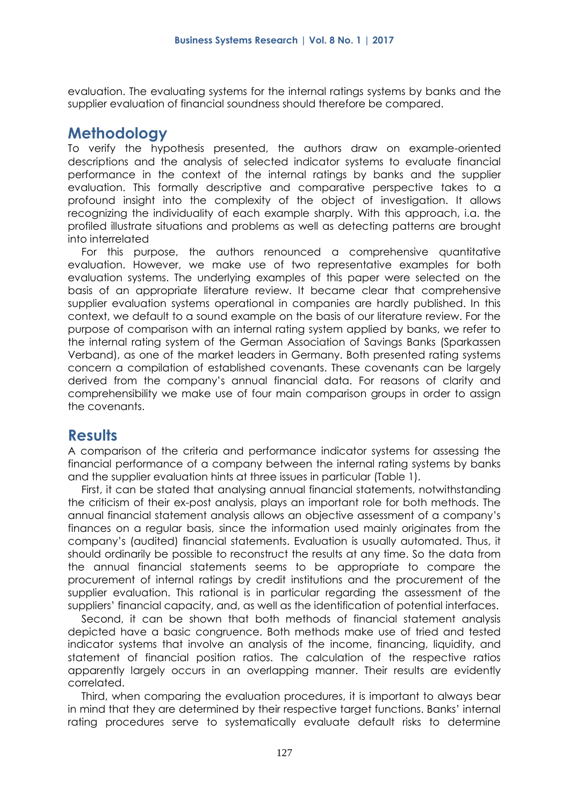evaluation. The evaluating systems for the internal ratings systems by banks and the supplier evaluation of financial soundness should therefore be compared.

## **Methodology**

To verify the hypothesis presented, the authors draw on example-oriented descriptions and the analysis of selected indicator systems to evaluate financial performance in the context of the internal ratings by banks and the supplier evaluation. This formally descriptive and comparative perspective takes to a profound insight into the complexity of the object of investigation. It allows recognizing the individuality of each example sharply. With this approach, i.a. the profiled illustrate situations and problems as well as detecting patterns are brought into interrelated

For this purpose, the authors renounced a comprehensive quantitative evaluation. However, we make use of two representative examples for both evaluation systems. The underlying examples of this paper were selected on the basis of an appropriate literature review. It became clear that comprehensive supplier evaluation systems operational in companies are hardly published. In this context, we default to a sound example on the basis of our literature review. For the purpose of comparison with an internal rating system applied by banks, we refer to the internal rating system of the German Association of Savings Banks (Sparkassen Verband), as one of the market leaders in Germany. Both presented rating systems concern a compilation of established covenants. These covenants can be largely derived from the company's annual financial data. For reasons of clarity and comprehensibility we make use of four main comparison groups in order to assign the covenants.

# **Results**

A comparison of the criteria and performance indicator systems for assessing the financial performance of a company between the internal rating systems by banks and the supplier evaluation hints at three issues in particular (Table 1).

First, it can be stated that analysing annual financial statements, notwithstanding the criticism of their ex-post analysis, plays an important role for both methods. The annual financial statement analysis allows an objective assessment of a company's finances on a regular basis, since the information used mainly originates from the company's (audited) financial statements. Evaluation is usually automated. Thus, it should ordinarily be possible to reconstruct the results at any time. So the data from the annual financial statements seems to be appropriate to compare the procurement of internal ratings by credit institutions and the procurement of the supplier evaluation. This rational is in particular regarding the assessment of the suppliers' financial capacity, and, as well as the identification of potential interfaces.

Second, it can be shown that both methods of financial statement analysis depicted have a basic congruence. Both methods make use of tried and tested indicator systems that involve an analysis of the income, financing, liquidity, and statement of financial position ratios. The calculation of the respective ratios apparently largely occurs in an overlapping manner. Their results are evidently correlated.

Third, when comparing the evaluation procedures, it is important to always bear in mind that they are determined by their respective target functions. Banks' internal rating procedures serve to systematically evaluate default risks to determine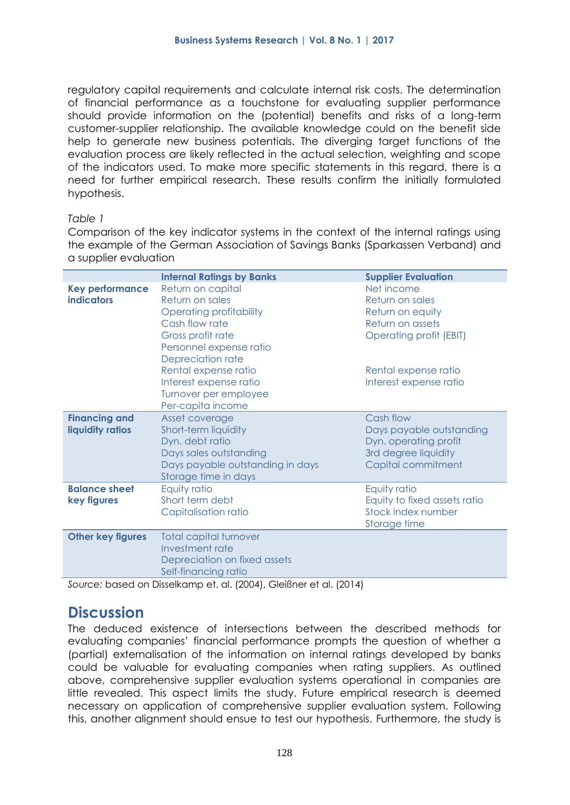regulatory capital requirements and calculate internal risk costs. The determination of financial performance as a touchstone for evaluating supplier performance should provide information on the (potential) benefits and risks of a long-term customer-supplier relationship. The available knowledge could on the benefit side help to generate new business potentials. The diverging target functions of the evaluation process are likely reflected in the actual selection, weighting and scope of the indicators used. To make more specific statements in this regard, there is a need for further empirical research. These results confirm the initially formulated hypothesis.

#### *Table 1*

Comparison of the key indicator systems in the context of the internal ratings using the example of the German Association of Savings Banks (Sparkassen Verband) and a supplier evaluation

|                                             | <b>Internal Ratings by Banks</b>                                                                                                                                                                                                                       | <b>Supplier Evaluation</b>                                                                                                                                |
|---------------------------------------------|--------------------------------------------------------------------------------------------------------------------------------------------------------------------------------------------------------------------------------------------------------|-----------------------------------------------------------------------------------------------------------------------------------------------------------|
| <b>Key performance</b><br><b>indicators</b> | Return on capital<br>Return on sales<br>Operating profitability<br>Cash flow rate<br>Gross profit rate<br>Personnel expense ratio<br>Depreciation rate<br>Rental expense ratio<br>Interest expense ratio<br>Turnover per employee<br>Per-capita income | Net income<br>Return on sales<br>Return on equity<br>Return on assets<br><b>Operating profit (EBIT)</b><br>Rental expense ratio<br>Interest expense ratio |
| <b>Financing and</b><br>liquidity ratios    | Asset coverage<br>Short-term liquidity<br>Dyn. debt ratio<br>Days sales outstanding<br>Days payable outstanding in days<br>Storage time in days                                                                                                        | Cash flow<br>Days payable outstanding<br>Dyn. operating profit<br>3rd degree liquidity<br>Capital commitment                                              |
| <b>Balance sheet</b><br>key figures         | Equity ratio<br>Short term debt<br>Capitalisation ratio                                                                                                                                                                                                | Equity ratio<br>Equity to fixed assets ratio<br>Stock index number<br>Storage time                                                                        |
| <b>Other key figures</b>                    | <b>Total capital turnover</b><br>Investment rate<br>Depreciation on fixed assets<br>Self-financing ratio                                                                                                                                               |                                                                                                                                                           |

*Source:* based on Disselkamp et. al. (2004), Gleißner et al. (2014)

## **Discussion**

The deduced existence of intersections between the described methods for evaluating companies' financial performance prompts the question of whether a (partial) externalisation of the information on internal ratings developed by banks could be valuable for evaluating companies when rating suppliers. As outlined above, comprehensive supplier evaluation systems operational in companies are little revealed. This aspect limits the study. Future empirical research is deemed necessary on application of comprehensive supplier evaluation system. Following this, another alignment should ensue to test our hypothesis. Furthermore, the study is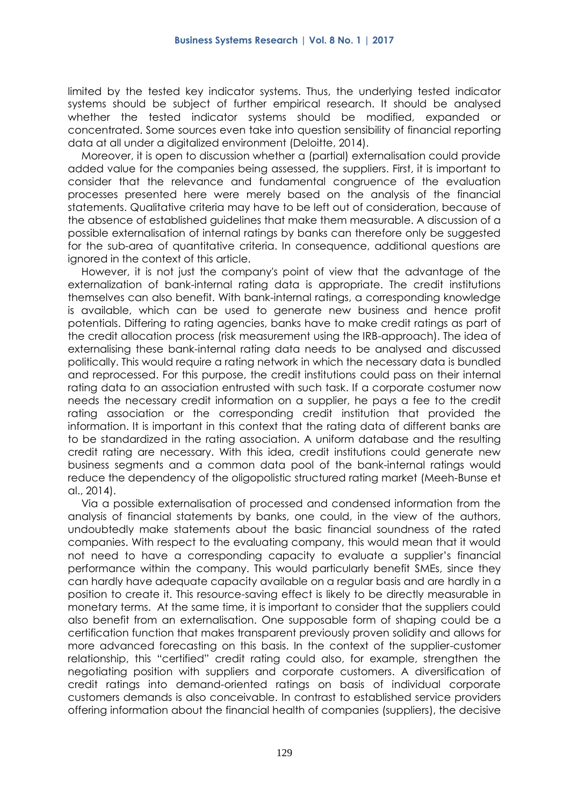limited by the tested key indicator systems. Thus, the underlying tested indicator systems should be subject of further empirical research. It should be analysed whether the tested indicator systems should be modified, expanded or concentrated. Some sources even take into question sensibility of financial reporting data at all under a digitalized environment (Deloitte, 2014).

Moreover, it is open to discussion whether a (partial) externalisation could provide added value for the companies being assessed, the suppliers. First, it is important to consider that the relevance and fundamental congruence of the evaluation processes presented here were merely based on the analysis of the financial statements. Qualitative criteria may have to be left out of consideration, because of the absence of established guidelines that make them measurable. A discussion of a possible externalisation of internal ratings by banks can therefore only be suggested for the sub-area of quantitative criteria. In consequence, additional questions are ignored in the context of this article.

However, it is not just the company's point of view that the advantage of the externalization of bank-internal rating data is appropriate. The credit institutions themselves can also benefit. With bank-internal ratings, a corresponding knowledge is available, which can be used to generate new business and hence profit potentials. Differing to rating agencies, banks have to make credit ratings as part of the credit allocation process (risk measurement using the IRB-approach). The idea of externalising these bank-internal rating data needs to be analysed and discussed politically. This would require a rating network in which the necessary data is bundled and reprocessed. For this purpose, the credit institutions could pass on their internal rating data to an association entrusted with such task. If a corporate costumer now needs the necessary credit information on a supplier, he pays a fee to the credit rating association or the corresponding credit institution that provided the information. It is important in this context that the rating data of different banks are to be standardized in the rating association. A uniform database and the resulting credit rating are necessary. With this idea, credit institutions could generate new business segments and a common data pool of the bank-internal ratings would reduce the dependency of the oligopolistic structured rating market (Meeh-Bunse et al., 2014).

Via a possible externalisation of processed and condensed information from the analysis of financial statements by banks, one could, in the view of the authors, undoubtedly make statements about the basic financial soundness of the rated companies. With respect to the evaluating company, this would mean that it would not need to have a corresponding capacity to evaluate a supplier's financial performance within the company. This would particularly benefit SMEs, since they can hardly have adequate capacity available on a regular basis and are hardly in a position to create it. This resource-saving effect is likely to be directly measurable in monetary terms. At the same time, it is important to consider that the suppliers could also benefit from an externalisation. One supposable form of shaping could be a certification function that makes transparent previously proven solidity and allows for more advanced forecasting on this basis. In the context of the supplier-customer relationship, this "certified" credit rating could also, for example, strengthen the negotiating position with suppliers and corporate customers. A diversification of credit ratings into demand-oriented ratings on basis of individual corporate customers demands is also conceivable. In contrast to established service providers offering information about the financial health of companies (suppliers), the decisive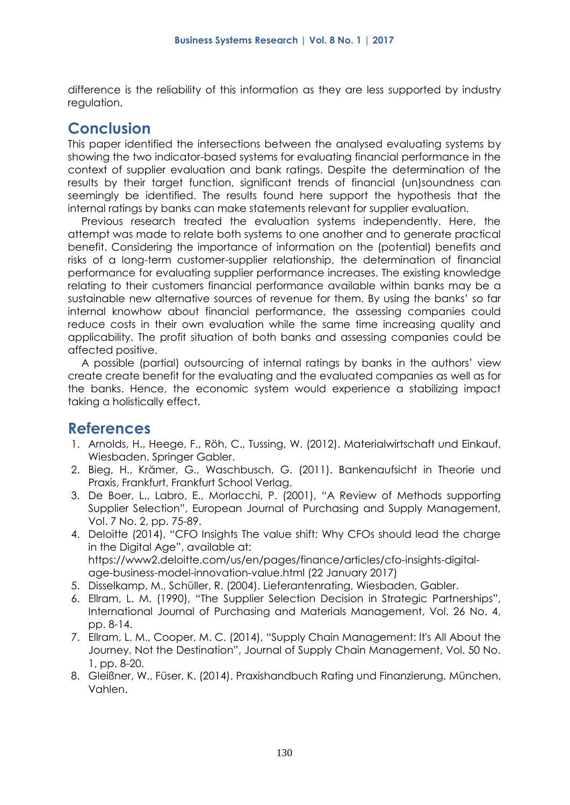difference is the reliability of this information as they are less supported by industry regulation.

# **Conclusion**

This paper identified the intersections between the analysed evaluating systems by showing the two indicator-based systems for evaluating financial performance in the context of supplier evaluation and bank ratings. Despite the determination of the results by their target function, significant trends of financial (un)soundness can seemingly be identified. The results found here support the hypothesis that the internal ratings by banks can make statements relevant for supplier evaluation.

Previous research treated the evaluation systems independently. Here, the attempt was made to relate both systems to one another and to generate practical benefit. Considering the importance of information on the (potential) benefits and risks of a long-term customer-supplier relationship, the determination of financial performance for evaluating supplier performance increases. The existing knowledge relating to their customers financial performance available within banks may be a sustainable new alternative sources of revenue for them. By using the banks' so far internal knowhow about financial performance, the assessing companies could reduce costs in their own evaluation while the same time increasing quality and applicability. The profit situation of both banks and assessing companies could be affected positive.

A possible (partial) outsourcing of internal ratings by banks in the authors' view create create benefit for the evaluating and the evaluated companies as well as for the banks. Hence, the economic system would experience a stabilizing impact taking a holistically effect.

# **References**

- 1. Arnolds, H., Heege, F., Röh, C., Tussing, W. (2012). Materialwirtschaft und Einkauf, Wiesbaden, Springer Gabler.
- 2. Bieg, H., Krämer, G., Waschbusch, G. (2011). Bankenaufsicht in Theorie und Praxis, Frankfurt, Frankfurt School Verlag.
- 3. De Boer, L., Labro, E., Morlacchi, P. (2001), "A Review of Methods supporting Supplier Selection", European Journal of Purchasing and Supply Management, Vol. 7 No. 2, pp. 75-89.
- 4. Deloitte (2014), "CFO Insights The value shift: Why CFOs should lead the charge in the Digital Age", available at: https://www2.deloitte.com/us/en/pages/finance/articles/cfo-insights-digitalage-business-model-innovation-value.html (22 January 2017)
- 5. Disselkamp, M., Schüller, R. (2004). Lieferantenrating, Wiesbaden, Gabler.
- 6. Ellram, L. M. (1990), "The Supplier Selection Decision in Strategic Partnerships", International Journal of Purchasing and Materials Management, Vol. 26 No. 4, pp. 8-14.
- 7. Ellram, L. M., Cooper, M. C. (2014), "Supply Chain Management: It's All About the Journey, Not the Destination", Journal of Supply Chain Management, Vol. 50 No. 1, pp. 8-20.
- 8. Gleißner, W., Füser, K. (2014). Praxishandbuch Rating und Finanzierung, München, Vahlen.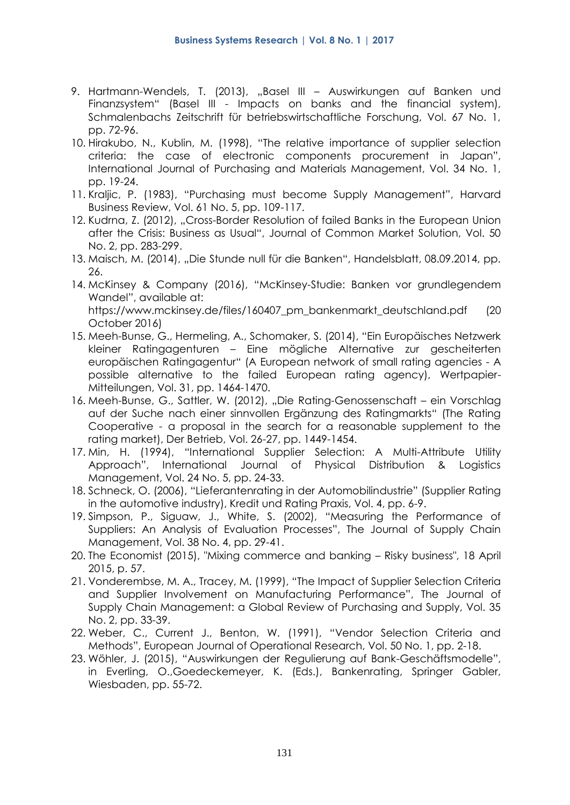- 9. Hartmann-Wendels, T. (2013), "Basel III Auswirkungen auf Banken und Finanzsystem" (Basel III - Impacts on banks and the financial system), Schmalenbachs Zeitschrift für betriebswirtschaftliche Forschung, Vol. 67 No. 1, pp. 72-96.
- 10. Hirakubo, N., Kublin, M. (1998), "The relative importance of supplier selection criteria: the case of electronic components procurement in Japan", International Journal of Purchasing and Materials Management, Vol. 34 No. 1, pp. 19-24.
- 11. Kraljic, P. (1983), "Purchasing must become Supply Management", Harvard Business Review, Vol. 61 No. 5, pp. 109-117.
- 12. Kudrna, Z. (2012), "Cross-Border Resolution of failed Banks in the European Union after the Crisis: Business as Usual", Journal of Common Market Solution, Vol. 50 No. 2, pp. 283-299.
- 13. Maisch, M. (2014), "Die Stunde null für die Banken", Handelsblatt, 08.09.2014, pp. 26.
- 14. McKinsey & Company (2016), "McKinsey-Studie: Banken vor grundlegendem Wandel", available at: https://www.mckinsey.de/files/160407 pm\_bankenmarkt\_deutschland.pdf (20) October 2016)
- 15. Meeh-Bunse, G., Hermeling, A., Schomaker, S. (2014), "Ein Europäisches Netzwerk kleiner Ratingagenturen – Eine mögliche Alternative zur gescheiterten europäischen Ratingagentur" (A European network of small rating agencies - A possible alternative to the failed European rating agency), Wertpapier-Mitteilungen, Vol. 31, pp. 1464-1470.
- 16. Meeh-Bunse, G., Sattler, W. (2012), "Die Rating-Genossenschaft ein Vorschlag auf der Suche nach einer sinnvollen Ergänzung des Ratingmarkts" (The Rating Cooperative - a proposal in the search for a reasonable supplement to the rating market), Der Betrieb, Vol. 26-27, pp. 1449-1454.
- 17. Min, H. (1994), "International Supplier Selection: A Multi-Attribute Utility Approach", International Journal of Physical Distribution & Logistics Management, Vol. 24 No. 5, pp. 24-33.
- 18. Schneck, O. (2006), "Lieferantenrating in der Automobilindustrie" (Supplier Rating in the automotive industry), Kredit und Rating Praxis, Vol. 4, pp. 6-9.
- 19. Simpson, P., Siguaw, J., White, S. (2002), "Measuring the Performance of Suppliers: An Analysis of Evaluation Processes", The Journal of Supply Chain Management, Vol. 38 No. 4, pp. 29-41.
- 20. The Economist (2015), "Mixing commerce and banking Risky business", 18 April 2015, p. 57.
- 21. Vonderembse, M. A., Tracey, M. (1999), "The Impact of Supplier Selection Criteria and Supplier Involvement on Manufacturing Performance", The Journal of Supply Chain Management: a Global Review of Purchasing and Supply, Vol. 35 No. 2, pp. 33-39.
- 22. Weber, C., Current J., Benton, W. (1991), "Vendor Selection Criteria and Methods", European Journal of Operational Research, Vol. 50 No. 1, pp. 2-18.
- 23. Wöhler, J. (2015), "Auswirkungen der Regulierung auf Bank-Geschäftsmodelle", in Everling, O.,Goedeckemeyer, K. (Eds.), Bankenrating, Springer Gabler, Wiesbaden, pp. 55-72.